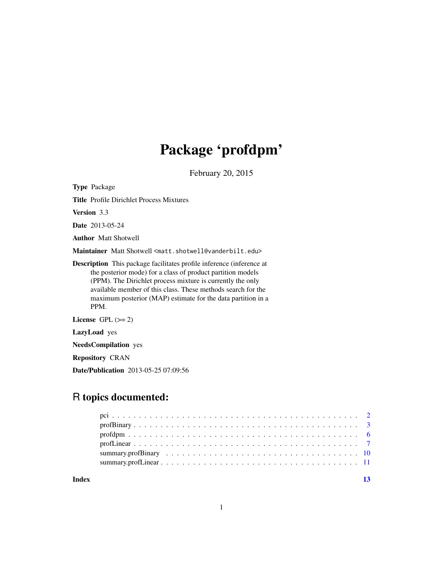## Package 'profdpm'

February 20, 2015

Type Package

Title Profile Dirichlet Process Mixtures

Version 3.3

Date 2013-05-24

Author Matt Shotwell

Maintainer Matt Shotwell <matt.shotwell@vanderbilt.edu>

Description This package facilitates profile inference (inference at the posterior mode) for a class of product partition models (PPM). The Dirichlet process mixture is currently the only available member of this class. These methods search for the maximum posterior (MAP) estimate for the data partition in a PPM.

License GPL  $(>= 2)$ 

LazyLoad yes

NeedsCompilation yes

Repository CRAN

Date/Publication 2013-05-25 07:09:56

### R topics documented:

**Index** [13](#page-12-0)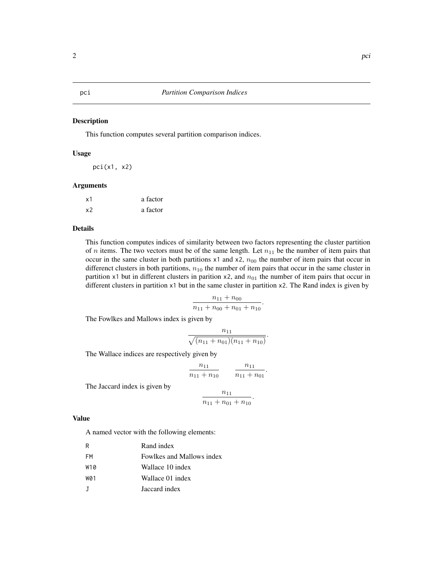#### Description

This function computes several partition comparison indices.

#### Usage

pci(x1, x2)

#### Arguments

| x1 | a factor |
|----|----------|
| x2 | a factor |

#### Details

This function computes indices of similarity between two factors representing the cluster partition of *n* items. The two vectors must be of the same length. Let  $n_{11}$  be the number of item pairs that occur in the same cluster in both partitions  $x1$  and  $x2$ ,  $n_{00}$  the number of item pairs that occur in differenct clusters in both partitions,  $n_{10}$  the number of item pairs that occur in the same cluster in partition x1 but in different clusters in parition x2, and  $n_{01}$  the number of item pairs that occur in different clusters in partition x1 but in the same cluster in partition x2. The Rand index is given by

$$
\frac{n_{11}+n_{00}}{n_{11}+n_{00}+n_{01}+n_{10}}.
$$

The Fowlkes and Mallows index is given by

$$
\frac{n_{11}}{\sqrt{(n_{11}+n_{01})(n_{11}+n_{10})}}.
$$

The Wallace indices are respectively given by

$$
\frac{n_{11}}{n_{11} + n_{10}} \qquad \frac{n_{11}}{n_{11} + n_{01}}
$$

.

The Jaccard index is given by

$$
\frac{n_{11}}{n_{11}+n_{01}+n_{10}}.
$$

#### Value

A named vector with the following elements:

| R   | Rand index                |
|-----|---------------------------|
| FM  | Fowlkes and Mallows index |
| W10 | Wallace 10 index          |
| W01 | Wallace 01 index          |
|     | Jaccard index             |

<span id="page-1-1"></span><span id="page-1-0"></span>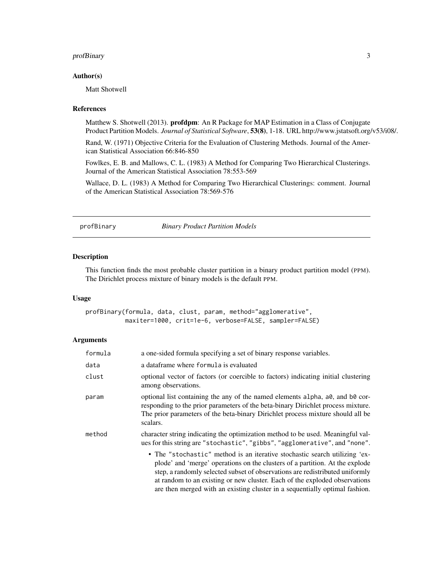#### <span id="page-2-0"></span>profBinary 3

#### Author(s)

Matt Shotwell

#### References

Matthew S. Shotwell (2013). **profdpm**: An R Package for MAP Estimation in a Class of Conjugate Product Partition Models. *Journal of Statistical Software*, 53(8), 1-18. URL http://www.jstatsoft.org/v53/i08/.

Rand, W. (1971) Objective Criteria for the Evaluation of Clustering Methods. Journal of the American Statistical Association 66:846-850

Fowlkes, E. B. and Mallows, C. L. (1983) A Method for Comparing Two Hierarchical Clusterings. Journal of the American Statistical Association 78:553-569

Wallace, D. L. (1983) A Method for Comparing Two Hierarchical Clusterings: comment. Journal of the American Statistical Association 78:569-576

<span id="page-2-1"></span>profBinary *Binary Product Partition Models*

#### Description

This function finds the most probable cluster partition in a binary product partition model (PPM). The Dirichlet process mixture of binary models is the default PPM.

#### Usage

profBinary(formula, data, clust, param, method="agglomerative", maxiter=1000, crit=1e-6, verbose=FALSE, sampler=FALSE)

#### Arguments

| formula | a one-sided formula specifying a set of binary response variables.                                                                                                                                                                                                                                                                                                                                      |
|---------|---------------------------------------------------------------------------------------------------------------------------------------------------------------------------------------------------------------------------------------------------------------------------------------------------------------------------------------------------------------------------------------------------------|
| data    | a dataframe where formula is evaluated                                                                                                                                                                                                                                                                                                                                                                  |
| clust   | optional vector of factors (or coercible to factors) indicating initial clustering<br>among observations.                                                                                                                                                                                                                                                                                               |
| param   | optional list containing the any of the named elements alpha, a $\theta$ , and b $\theta$ cor-<br>responding to the prior parameters of the beta-binary Dirichlet process mixture.<br>The prior parameters of the beta-binary Dirichlet process mixture should all be<br>scalars.                                                                                                                       |
| method  | character string indicating the optimization method to be used. Meaningful val-<br>ues for this string are "stochastic", "gibbs", "agglomerative", and "none".                                                                                                                                                                                                                                          |
|         | • The "stochastic" method is an iterative stochastic search utilizing 'ex-<br>plode' and 'merge' operations on the clusters of a partition. At the explode<br>step, a randomly selected subset of observations are redistributed uniformly<br>at random to an existing or new cluster. Each of the exploded observations<br>are then merged with an existing cluster in a sequentially optimal fashion. |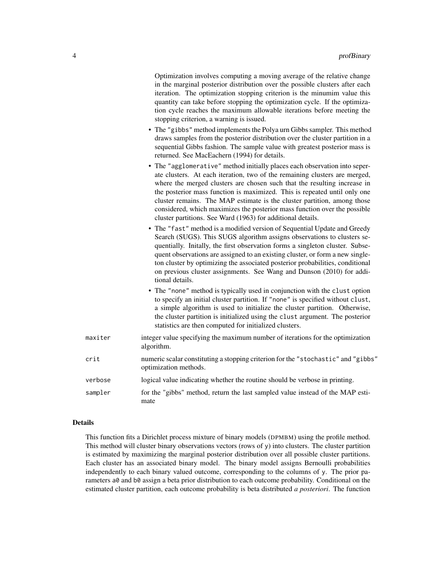Optimization involves computing a moving average of the relative change in the marginal posterior distribution over the possible clusters after each iteration. The optimization stopping criterion is the minumim value this quantity can take before stopping the optimization cycle. If the optimization cycle reaches the maximum allowable iterations before meeting the stopping criterion, a warning is issued.

- The "gibbs" method implements the Polya urn Gibbs sampler. This method draws samples from the posterior distribution over the cluster partition in a sequential Gibbs fashion. The sample value with greatest posterior mass is returned. See MacEachern (1994) for details.
- The "agglomerative" method initially places each observation into seperate clusters. At each iteration, two of the remaining clusters are merged, where the merged clusters are chosen such that the resulting increase in the posterior mass function is maximized. This is repeated until only one cluster remains. The MAP estimate is the cluster partition, among those considered, which maximizes the posterior mass function over the possible cluster partitions. See Ward (1963) for additional details.
- The "fast" method is a modified version of Sequential Update and Greedy Search (SUGS). This SUGS algorithm assigns observations to clusters sequentially. Initally, the first observation forms a singleton cluster. Subsequent observations are assigned to an existing cluster, or form a new singleton cluster by optimizing the associated posterior probabilities, conditional on previous cluster assignments. See Wang and Dunson (2010) for additional details.
- The "none" method is typically used in conjunction with the clust option to specify an initial cluster partition. If "none" is specified without clust, a simple algorithm is used to initialize the cluster partition. Otherwise, the cluster partition is initialized using the clust argument. The posterior statistics are then computed for initialized clusters.

| maxiter | integer value specifying the maximum number of iterations for the optimization<br>algorithm.               |
|---------|------------------------------------------------------------------------------------------------------------|
| crit    | numeric scalar constituting a stopping criterion for the "stochastic" and "gibbs"<br>optimization methods. |
| verbose | logical value indicating whether the routine should be verbose in printing.                                |
| sampler | for the "gibbs" method, return the last sampled value instead of the MAP esti-<br>mate                     |

#### Details

This function fits a Dirichlet process mixture of binary models (DPMBM) using the profile method. This method will cluster binary observations vectors (rows of  $y$ ) into clusters. The cluster partition is estimated by maximizing the marginal posterior distribution over all possible cluster partitions. Each cluster has an associated binary model. The binary model assigns Bernoulli probabilities independently to each binary valued outcome, corresponding to the columns of y. The prior parameters a0 and b0 assign a beta prior distribution to each outcome probability. Conditional on the estimated cluster partition, each outcome probability is beta distributed *a posteriori*. The function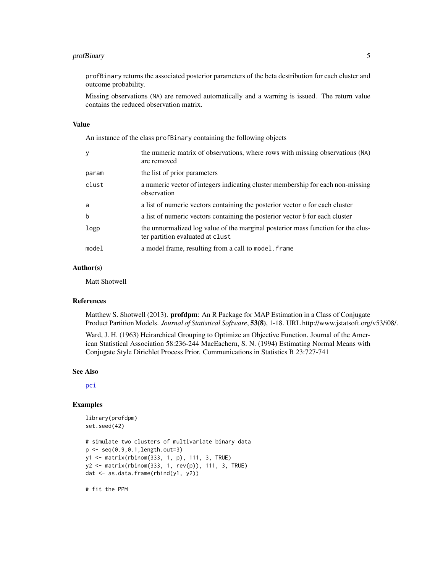#### <span id="page-4-0"></span>profBinary 5

profBinary returns the associated posterior parameters of the beta destribution for each cluster and outcome probability.

Missing observations (NA) are removed automatically and a warning is issued. The return value contains the reduced observation matrix.

#### Value

An instance of the class profBinary containing the following objects

| V           | the numeric matrix of observations, where rows with missing observations (NA)<br>are removed                         |
|-------------|----------------------------------------------------------------------------------------------------------------------|
| param       | the list of prior parameters                                                                                         |
| clust       | a numeric vector of integers indicating cluster membership for each non-missing<br>observation                       |
| a           | a list of numeric vectors containing the posterior vector $\alpha$ for each cluster                                  |
| $\mathbf b$ | a list of numeric vectors containing the posterior vector $b$ for each cluster                                       |
| logp        | the unnormalized log value of the marginal posterior mass function for the clus-<br>ter partition evaluated at clust |
| model       | a model frame, resulting from a call to model. Frame                                                                 |

#### Author(s)

Matt Shotwell

#### References

Matthew S. Shotwell (2013). **profdpm**: An R Package for MAP Estimation in a Class of Conjugate Product Partition Models. *Journal of Statistical Software*, 53(8), 1-18. URL http://www.jstatsoft.org/v53/i08/.

Ward, J. H. (1963) Heirarchical Grouping to Optimize an Objective Function. Journal of the American Statistical Association 58:236-244 MacEachern, S. N. (1994) Estimating Normal Means with Conjugate Style Dirichlet Process Prior. Communications in Statistics B 23:727-741

#### See Also

[pci](#page-1-1)

#### Examples

```
library(profdpm)
set.seed(42)
# simulate two clusters of multivariate binary data
p <- seq(0.9,0.1,length.out=3)
y1 <- matrix(rbinom(333, 1, p), 111, 3, TRUE)
y2 <- matrix(rbinom(333, 1, rev(p)), 111, 3, TRUE)
dat <- as.data.frame(rbind(y1, y2))
```
# fit the PPM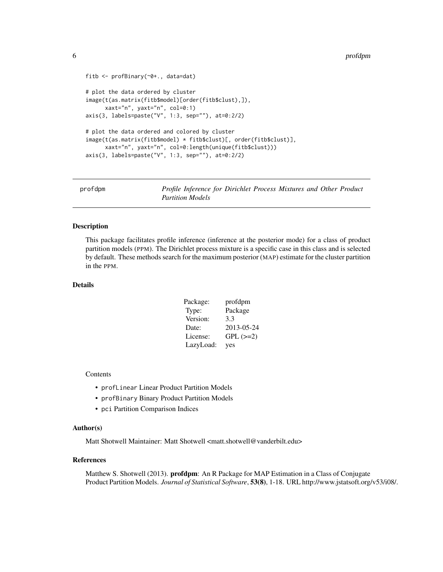```
fitb <- profBinary(~0+., data=dat)
# plot the data ordered by cluster
image(t(as.matrix(fitb$model)[order(fitb$clust),]),
     xaxt="n", yaxt="n", col=0:1)
axis(3, labels=paste("V", 1:3, sep=""), at=0:2/2)
# plot the data ordered and colored by cluster
image(t(as.matrix(fitb$model) * fitb$clust)[, order(fitb$clust)],
     xaxt="n", yaxt="n", col=0:length(unique(fitb$clust)))
axis(3, labels=paste("V", 1:3, sep=""), at=0:2/2)
```

| profdpm | Profile Inference for Dirichlet Process Mixtures and Other Product |
|---------|--------------------------------------------------------------------|
|         | <b>Partition Models</b>                                            |

#### Description

This package facilitates profile inference (inference at the posterior mode) for a class of product partition models (PPM). The Dirichlet process mixture is a specific case in this class and is selected by default. These methods search for the maximum posterior (MAP) estimate for the cluster partition in the PPM.

#### **Details**

| Package:  | profdpm    |
|-----------|------------|
| Type:     | Package    |
| Version:  | 3.3        |
| Date:     | 2013-05-24 |
| License:  | $GPL (=2)$ |
| LazyLoad: | yes        |

#### **Contents**

- profLinear Linear Product Partition Models
- profBinary Binary Product Partition Models
- pci Partition Comparison Indices

#### Author(s)

Matt Shotwell Maintainer: Matt Shotwell <matt.shotwell@vanderbilt.edu>

#### References

Matthew S. Shotwell (2013). **profdpm**: An R Package for MAP Estimation in a Class of Conjugate Product Partition Models. *Journal of Statistical Software*, 53(8), 1-18. URL http://www.jstatsoft.org/v53/i08/.

<span id="page-5-0"></span>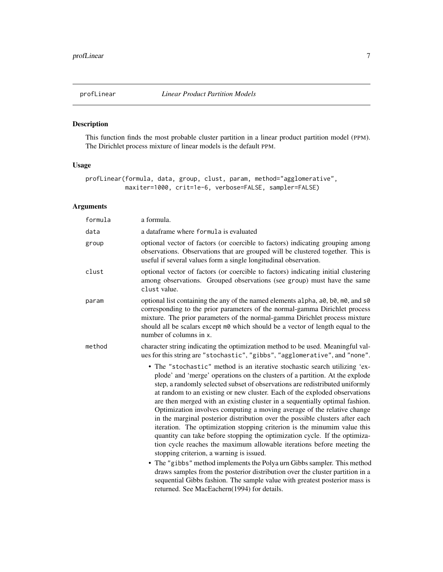<span id="page-6-1"></span><span id="page-6-0"></span>

#### Description

This function finds the most probable cluster partition in a linear product partition model (PPM). The Dirichlet process mixture of linear models is the default PPM.

#### Usage

profLinear(formula, data, group, clust, param, method="agglomerative", maxiter=1000, crit=1e-6, verbose=FALSE, sampler=FALSE)

#### Arguments

| a formula.                                                                                                                                                                                                                                                                                                                                                                                                                                                                                                                                                                                                                                                                                                                                                                                                                                                                                                                                                                                                                                                                                                                                   |
|----------------------------------------------------------------------------------------------------------------------------------------------------------------------------------------------------------------------------------------------------------------------------------------------------------------------------------------------------------------------------------------------------------------------------------------------------------------------------------------------------------------------------------------------------------------------------------------------------------------------------------------------------------------------------------------------------------------------------------------------------------------------------------------------------------------------------------------------------------------------------------------------------------------------------------------------------------------------------------------------------------------------------------------------------------------------------------------------------------------------------------------------|
| a dataframe where formula is evaluated                                                                                                                                                                                                                                                                                                                                                                                                                                                                                                                                                                                                                                                                                                                                                                                                                                                                                                                                                                                                                                                                                                       |
| optional vector of factors (or coercible to factors) indicating grouping among<br>observations. Observations that are grouped will be clustered together. This is<br>useful if several values form a single longitudinal observation.                                                                                                                                                                                                                                                                                                                                                                                                                                                                                                                                                                                                                                                                                                                                                                                                                                                                                                        |
| optional vector of factors (or coercible to factors) indicating initial clustering<br>among observations. Grouped observations (see group) must have the same<br>clust value.                                                                                                                                                                                                                                                                                                                                                                                                                                                                                                                                                                                                                                                                                                                                                                                                                                                                                                                                                                |
| optional list containing the any of the named elements alpha, a0, b0, m0, and s0<br>corresponding to the prior parameters of the normal-gamma Dirichlet process<br>mixture. The prior parameters of the normal-gamma Dirichlet process mixture<br>should all be scalars except m0 which should be a vector of length equal to the<br>number of columns in x.                                                                                                                                                                                                                                                                                                                                                                                                                                                                                                                                                                                                                                                                                                                                                                                 |
| character string indicating the optimization method to be used. Meaningful val-<br>ues for this string are "stochastic", "gibbs", "agglomerative", and "none".                                                                                                                                                                                                                                                                                                                                                                                                                                                                                                                                                                                                                                                                                                                                                                                                                                                                                                                                                                               |
| • The "stochastic" method is an iterative stochastic search utilizing 'ex-<br>plode' and 'merge' operations on the clusters of a partition. At the explode<br>step, a randomly selected subset of observations are redistributed uniformly<br>at random to an existing or new cluster. Each of the exploded observations<br>are then merged with an existing cluster in a sequentially optimal fashion.<br>Optimization involves computing a moving average of the relative change<br>in the marginal posterior distribution over the possible clusters after each<br>iteration. The optimization stopping criterion is the minumim value this<br>quantity can take before stopping the optimization cycle. If the optimiza-<br>tion cycle reaches the maximum allowable iterations before meeting the<br>stopping criterion, a warning is issued.<br>• The "gibbs" method implements the Polya urn Gibbs sampler. This method<br>draws samples from the posterior distribution over the cluster partition in a<br>sequential Gibbs fashion. The sample value with greatest posterior mass is<br>returned. See MacEachern(1994) for details. |
|                                                                                                                                                                                                                                                                                                                                                                                                                                                                                                                                                                                                                                                                                                                                                                                                                                                                                                                                                                                                                                                                                                                                              |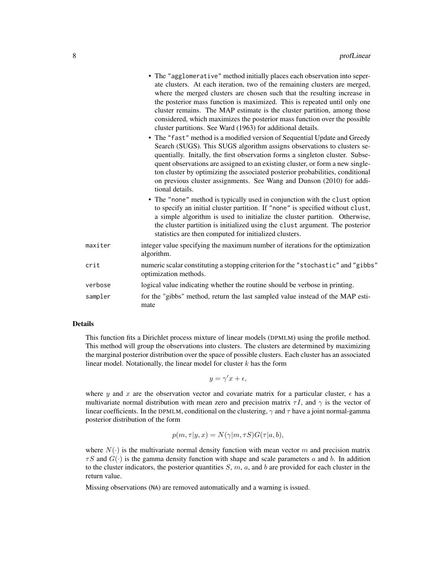| quentially. Initally, the first observation forms a singleton cluster. Subse-<br>quent observations are assigned to an existing cluster, or form a new single-<br>ton cluster by optimizing the associated posterior probabilities, conditional<br>on previous cluster assignments. See Wang and Dunson (2010) for addi-<br>• The "none" method is typically used in conjunction with the clust option<br>to specify an initial cluster partition. If "none" is specified without clust, |
|------------------------------------------------------------------------------------------------------------------------------------------------------------------------------------------------------------------------------------------------------------------------------------------------------------------------------------------------------------------------------------------------------------------------------------------------------------------------------------------|
| a simple algorithm is used to initialize the cluster partition. Otherwise,<br>the cluster partition is initialized using the clust argument. The posterior                                                                                                                                                                                                                                                                                                                               |
| integer value specifying the maximum number of iterations for the optimization                                                                                                                                                                                                                                                                                                                                                                                                           |
| numeric scalar constituting a stopping criterion for the "stochastic" and "gibbs"                                                                                                                                                                                                                                                                                                                                                                                                        |
| logical value indicating whether the routine should be verbose in printing.                                                                                                                                                                                                                                                                                                                                                                                                              |
| for the "gibbs" method, return the last sampled value instead of the MAP esti-                                                                                                                                                                                                                                                                                                                                                                                                           |
|                                                                                                                                                                                                                                                                                                                                                                                                                                                                                          |

#### Details

This function fits a Dirichlet process mixture of linear models (DPMLM) using the profile method. This method will group the observations into clusters. The clusters are determined by maximizing the marginal posterior distribution over the space of possible clusters. Each cluster has an associated linear model. Notationally, the linear model for cluster  $k$  has the form

$$
y = \gamma' x + \epsilon,
$$

where y and x are the observation vector and covariate matrix for a particular cluster,  $\epsilon$  has a multivariate normal distribution with mean zero and precision matrix  $\tau I$ , and  $\gamma$  is the vector of linear coefficients. In the DPMLM, conditional on the clustering,  $\gamma$  and  $\tau$  have a joint normal-gamma posterior distribution of the form

$$
p(m, \tau | y, x) = N(\gamma | m, \tau S) G(\tau | a, b),
$$

where  $N(\cdot)$  is the multivariate normal density function with mean vector m and precision matrix  $\tau S$  and  $G(\cdot)$  is the gamma density function with shape and scale parameters a and b. In addition to the cluster indicators, the posterior quantities  $S, m, a$ , and b are provided for each cluster in the return value.

Missing observations (NA) are removed automatically and a warning is issued.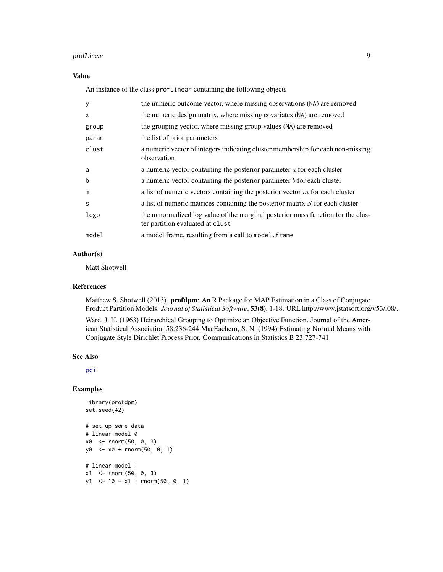#### <span id="page-8-0"></span>profLinear 9

#### Value

An instance of the class profLinear containing the following objects

| y            | the numeric outcome vector, where missing observations (NA) are removed                                              |
|--------------|----------------------------------------------------------------------------------------------------------------------|
| $\mathsf{x}$ | the numeric design matrix, where missing covariates (NA) are removed                                                 |
| group        | the grouping vector, where missing group values (NA) are removed                                                     |
| param        | the list of prior parameters                                                                                         |
| clust        | a numeric vector of integers indicating cluster membership for each non-missing<br>observation                       |
| a            | a numeric vector containing the posterior parameter $a$ for each cluster                                             |
| b            | a numeric vector containing the posterior parameter $b$ for each cluster                                             |
| m            | a list of numeric vectors containing the posterior vector $m$ for each cluster                                       |
| S            | a list of numeric matrices containing the posterior matrix $S$ for each cluster                                      |
| logp         | the unnormalized log value of the marginal posterior mass function for the clus-<br>ter partition evaluated at clust |
| model        | a model frame, resulting from a call to model. Frame                                                                 |

#### Author(s)

Matt Shotwell

#### References

Matthew S. Shotwell (2013). profdpm: An R Package for MAP Estimation in a Class of Conjugate Product Partition Models. *Journal of Statistical Software*, 53(8), 1-18. URL http://www.jstatsoft.org/v53/i08/.

Ward, J. H. (1963) Heirarchical Grouping to Optimize an Objective Function. Journal of the American Statistical Association 58:236-244 MacEachern, S. N. (1994) Estimating Normal Means with Conjugate Style Dirichlet Process Prior. Communications in Statistics B 23:727-741

#### See Also

[pci](#page-1-1)

#### Examples

```
library(profdpm)
set.seed(42)
# set up some data
# linear model 0
x0 <- rnorm(50, 0, 3)
y0 <- x0 + rnorm(50, 0, 1)
# linear model 1
x1 \le - rnorm(50, 0, 3)
y1 <- 10 - x1 + rnorm(50, 0, 1)
```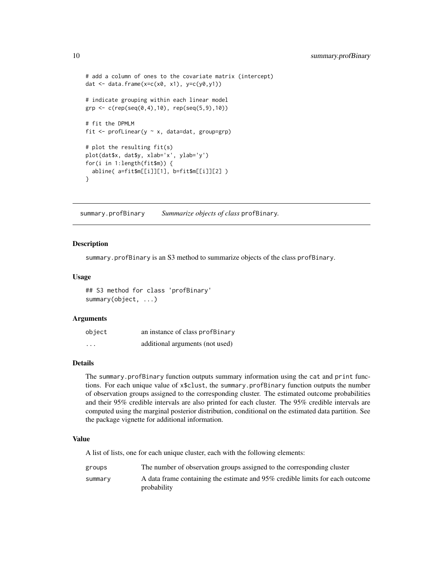```
# add a column of ones to the covariate matrix (intercept)
dat \leq data.frame(x=c(x0, x1), y=c(y0,y1))
# indicate grouping within each linear model
grp <- c(rep(seq(0,4),10), rep(seq(5,9),10))
# fit the DPMLM
fit \leq profLinear(y \sim x, data=dat, group=grp)
# plot the resulting fit(s)
plot(dat$x, dat$y, xlab='x', ylab='y')
for(i in 1:length(fit$m)) {
 abline( a=fit$m[[i]][1], b=fit$m[[i]][2] )
}
```
summary.profBinary *Summarize objects of class* profBinary*.*

#### Description

summary.profBinary is an S3 method to summarize objects of the class profBinary.

#### Usage

## S3 method for class 'profBinary' summary(object, ...)

#### Arguments

| object                  | an instance of class profBinary |
|-------------------------|---------------------------------|
| $\cdot$ $\cdot$ $\cdot$ | additional arguments (not used) |

#### Details

The summary.profBinary function outputs summary information using the cat and print functions. For each unique value of x\$clust, the summary.profBinary function outputs the number of observation groups assigned to the corresponding cluster. The estimated outcome probabilities and their 95% credible intervals are also printed for each cluster. The 95% credible intervals are computed using the marginal posterior distribution, conditional on the estimated data partition. See the package vignette for additional information.

#### Value

A list of lists, one for each unique cluster, each with the following elements:

| groups  | The number of observation groups assigned to the corresponding cluster                       |
|---------|----------------------------------------------------------------------------------------------|
| summary | A data frame containing the estimate and 95% credible limits for each outcome<br>probability |

<span id="page-9-0"></span>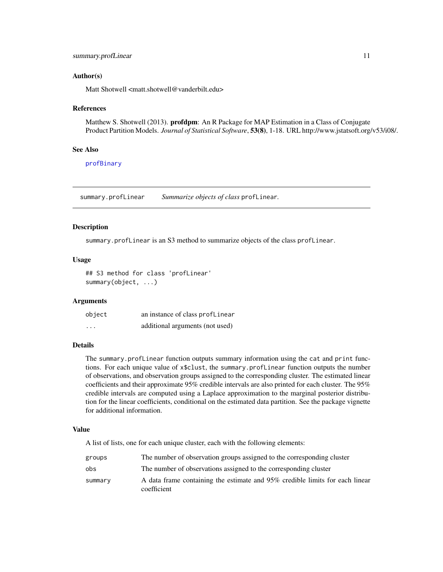#### <span id="page-10-0"></span>Author(s)

Matt Shotwell <matt.shotwell@vanderbilt.edu>

#### References

Matthew S. Shotwell (2013). **profdpm**: An R Package for MAP Estimation in a Class of Conjugate Product Partition Models. *Journal of Statistical Software*, 53(8), 1-18. URL http://www.jstatsoft.org/v53/i08/.

#### See Also

[profBinary](#page-2-1)

summary.profLinear *Summarize objects of class* profLinear*.*

#### Description

summary.profLinear is an S3 method to summarize objects of the class profLinear.

#### Usage

## S3 method for class 'profLinear' summary(object, ...)

#### Arguments

| object   | an instance of class profLinear |
|----------|---------------------------------|
| $\cdots$ | additional arguments (not used) |

#### Details

The summary.profLinear function outputs summary information using the cat and print functions. For each unique value of x\$clust, the summary.profLinear function outputs the number of observations, and observation groups assigned to the corresponding cluster. The estimated linear coefficients and their approximate 95% credible intervals are also printed for each cluster. The 95% credible intervals are computed using a Laplace approximation to the marginal posterior distribution for the linear coefficients, conditional on the estimated data partition. See the package vignette for additional information.

#### Value

A list of lists, one for each unique cluster, each with the following elements:

| groups  | The number of observation groups assigned to the corresponding cluster                      |
|---------|---------------------------------------------------------------------------------------------|
| obs     | The number of observations assigned to the corresponding cluster                            |
| summary | A data frame containing the estimate and 95% credible limits for each linear<br>coefficient |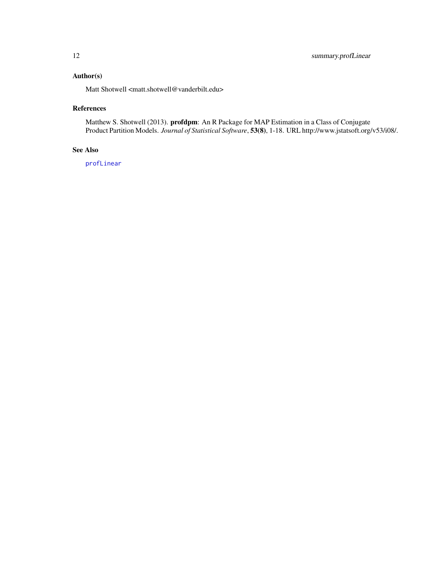#### <span id="page-11-0"></span>Author(s)

Matt Shotwell <matt.shotwell@vanderbilt.edu>

#### References

Matthew S. Shotwell (2013). profdpm: An R Package for MAP Estimation in a Class of Conjugate Product Partition Models. *Journal of Statistical Software*, 53(8), 1-18. URL http://www.jstatsoft.org/v53/i08/.

#### See Also

[profLinear](#page-6-1)